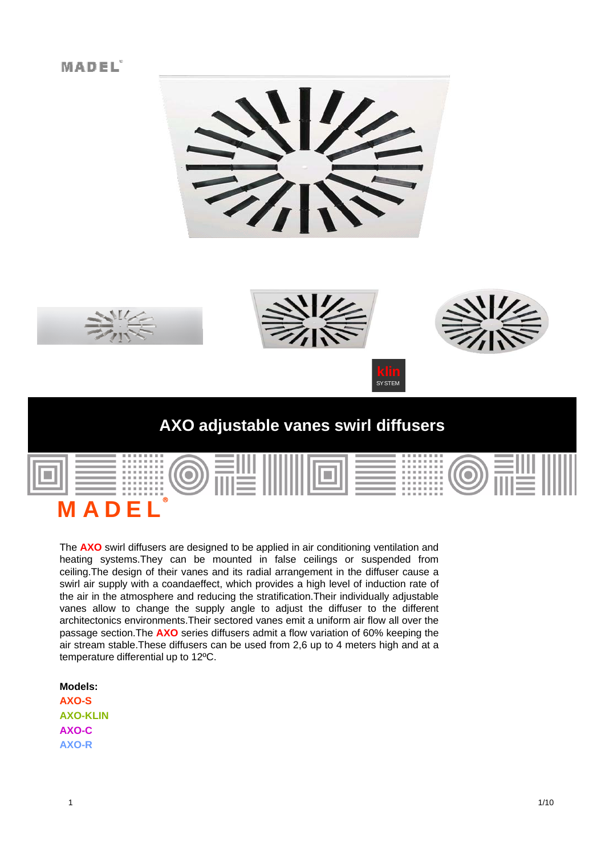# MADEL





# **AXO adjustable vanes swirl diffusers AXO adjustable vanes swirl**

| <b></b><br><b></b><br>--------<br>--------<br>---------<br><b>*********</b><br><b><i><u>BREEZER</u></i></b><br>. |   |  |  | --------<br><b></b><br>--------<br>---------<br>---------<br><b></b><br><b></b><br>. |  |  |
|------------------------------------------------------------------------------------------------------------------|---|--|--|--------------------------------------------------------------------------------------|--|--|
| F<br>D<br>Д                                                                                                      | ® |  |  |                                                                                      |  |  |

The **AXO** swirl diffusers are designed to be applied in air conditioning ventilation and heating systems.They can be mounted in false ceilings or suspended from ceiling.The design of their vanes and its radial arrangement in the diffuser cause a swirl air supply with a coandaeffect, which provides a high level of induction rate of the air in the atmosphere and reducing the stratification.Their individually adjustable vanes allow to change the supply angle to adjust the diffuser to the different architectonics environments.Their sectored vanes emit a uniform air flow all over the passage section.The **AXO** series diffusers admit a flow variation of 60% keeping the air stream stable.These diffusers can be used from 2,6 up to 4 meters high and at a temperature differential up to 12ºC.

## **Models:**

**AXO-S AXO-KLIN AXO-C AXO-R**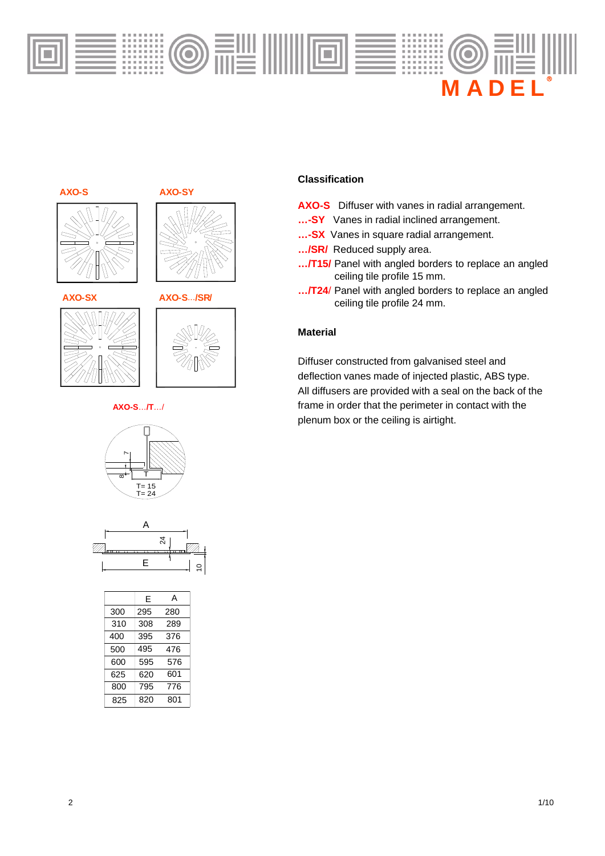











#### **AXO-S**…**/T**…/





|     | F   | A   |
|-----|-----|-----|
| 300 | 295 | 280 |
| 310 | 308 | 289 |
| 400 | 395 | 376 |
| 500 | 495 | 476 |
| 600 | 595 | 576 |
| 625 | 620 | 601 |
| 800 | 795 | 776 |
| 825 | 820 | 801 |

#### **Classification**

- **AXO-S** Diffuser with vanes in radial arrangement.
- **…-SY** Vanes in radial inclined arrangement.
- **…-SX** Vanes in square radial arrangement.
- **…/SR/** Reduced supply area.
- **…/T15/** Panel with angled borders to replace an angled ceiling tile profile 15 mm.
- **…/T24**/ Panel with angled borders to replace an angled ceiling tile profile 24 mm.

#### **Material**

Diffuser constructed from galvanised steel and deflection vanes made of injected plastic, ABS type. All diffusers are provided with a seal on the back of the frame in order that the perimeter in contact with the plenum box or the ceiling is airtight.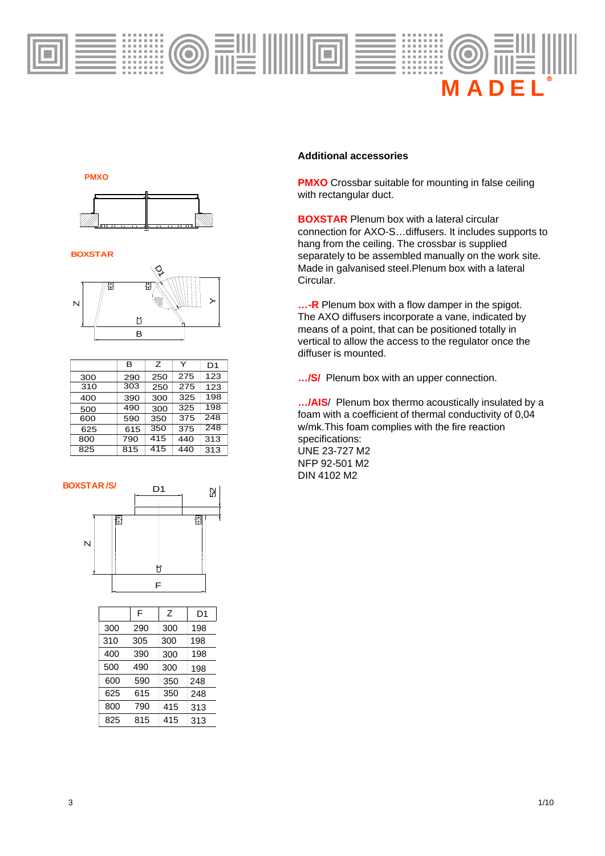

**PMXO**



**BOXSTAR**



|     | в   | Ζ   | Y   | D1  |
|-----|-----|-----|-----|-----|
| 300 | 290 | 250 | 275 | 123 |
| 310 | 303 | 250 | 275 | 123 |
| 400 | 390 | 300 | 325 | 198 |
| 500 | 490 | 300 | 325 | 198 |
| 600 | 590 | 350 | 375 | 248 |
| 625 | 615 | 350 | 375 | 248 |
| 800 | 790 | 415 | 440 | 313 |
| 825 | 815 | 415 | 440 | 313 |



|     | F   | Z   | D1  |
|-----|-----|-----|-----|
| 300 | 290 | 300 | 198 |
| 310 | 305 | 300 | 198 |
| 400 | 390 | 300 | 198 |
| 500 | 490 | 300 | 198 |
| 600 | 590 | 350 | 248 |
| 625 | 615 | 350 | 248 |
| 800 | 790 | 415 | 313 |
| 825 | 815 | 415 | 313 |

### **Additional accessories**

**PMXO** Crossbar suitable for mounting in false ceiling with rectangular duct.

**BOXSTAR** Plenum box with a lateral circular connection for AXO-S...diffusers. It includes supports to hang from the ceiling. The crossbar is supplied separately to be assembled manually on the work site. Made in galvanised steel.Plenum box with a lateral Circular.

**…-R** Plenum box with a flow damper in the spigot. The AXO diffusers incorporate a vane, indicated by means of a point, that can be positioned totally in vertical to allow the access to the regulator once the diffuser is mounted.

**…/S/** Plenum box with an upper connection.

**…/AIS**/ Plenum box thermo acoustically insulated by a foam with a coefficient of thermal conductivity of 0,04 w/mk This foam complies with the fire reaction specifications: UNE 23-727 M2 NFP 92-501 M2 DIN 4102 M2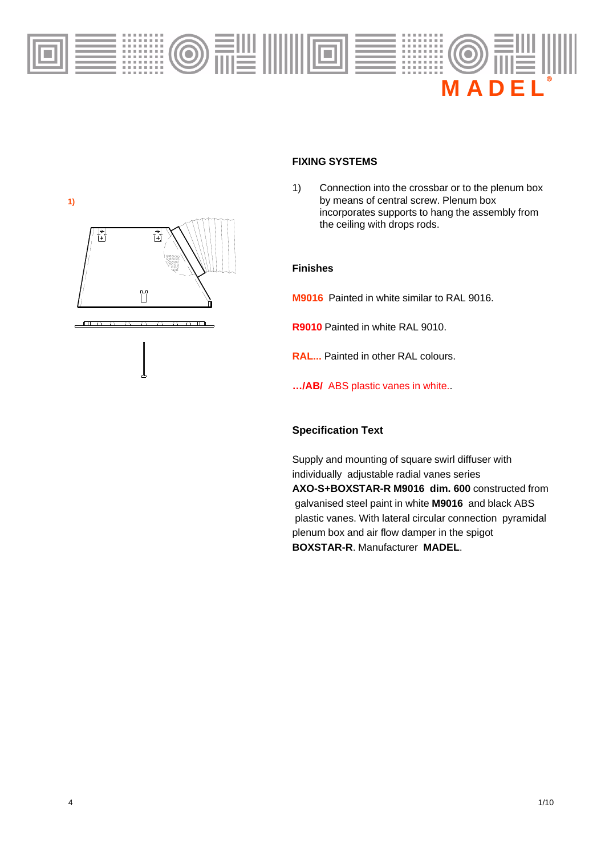



## **FIXING SYSTEMS**

1) Connection into the crossbar or to the plenum box by means of central screw. Plenum box incorporates supports to hang the assembly from the ceiling with drops rods.

#### **Finishes**

**M9016** Painted in white similar to RAL 9016.

- **R9010** Painted in white RAL 9010.
- **RAL...** Painted in other RAL colours.
- **…/AB/** ABS plastic vanes in white..

### **Specification Text**

Supply and mounting of square swirl diffuser with individually adjustable radial vanes series **AXO-S+BOXSTAR-R M9016 dim. 600** constructed from galvanised steel paint in white **M9016** and black ABS plastic vanes. With lateral circular connection pyramidal plenum box and air flow damper in the spigot **BOXSTAR-R**. Manufacturer **MADEL**.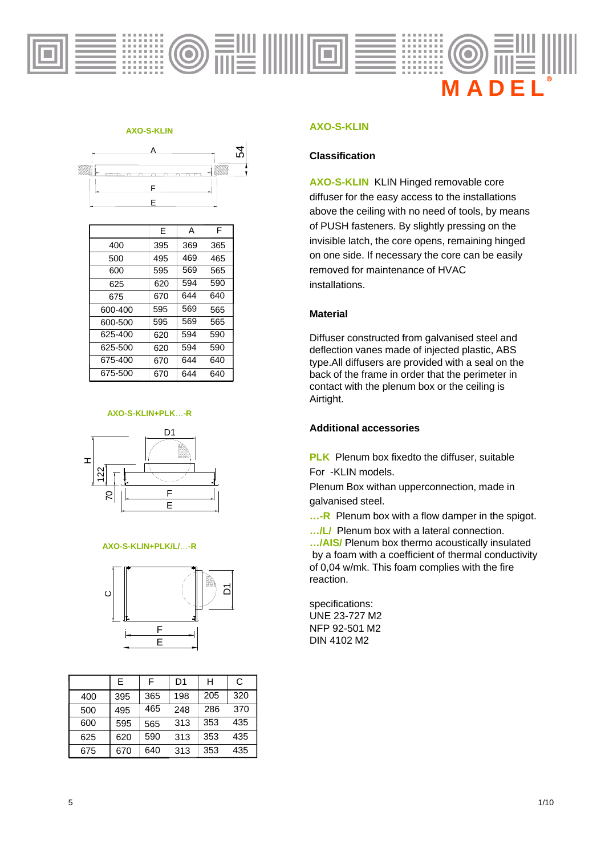

#### **AXO-S-KLIN**



|         | Ε   | А   | F   |
|---------|-----|-----|-----|
| 400     | 395 | 369 | 365 |
| 500     | 495 | 469 | 465 |
| 600     | 595 | 569 | 565 |
| 625     | 620 | 594 | 590 |
| 675     | 670 | 644 | 640 |
| 600-400 | 595 | 569 | 565 |
| 600-500 | 595 | 569 | 565 |
| 625-400 | 620 | 594 | 590 |
| 625-500 | 620 | 594 | 590 |
| 675-400 | 670 | 644 | 640 |
| 675-500 | 670 | 644 | 640 |

#### **AXO-S-KLIN+PLK**…**-R**



#### **AXO-S-KLIN+PLK/L/**…**-R**



|     | F   | F   | D <sub>1</sub> | н   | С   |
|-----|-----|-----|----------------|-----|-----|
| 400 | 395 | 365 | 198            | 205 | 320 |
| 500 | 495 | 465 | 248            | 286 | 370 |
| 600 | 595 | 565 | 313            | 353 | 435 |
| 625 | 620 | 590 | 313            | 353 | 435 |
| 675 | 670 | 640 | 313            | 353 | 435 |

#### **AXO-S-KLIN AXO <sup>S</sup> KLIN**

#### **Classification**

**AXO-S-KLIN** KLIN Hinged removable core diffuser for the easy access to the installations above the ceiling with no need of tools, by means of PUSH fasteners. By slightly pressing on the invisible latch, the core opens, remaining hinged on one side. If necessary the core can be easily removed for maintenance of HVAC installations.

#### **Material**

Diffuser constructed from galvanised steel and deflection vanes made of injected plastic, ABS type.All diffusers are provided with a seal on the back of the frame in order that the perimeter in contact with the plenum box or the ceiling is Airtight.

#### **Additional accessories**

**PLK** Plenum box fixedto the diffuser, suitable For -KLIN models.

Plenum Box withan upperconnection, made in galvanised steel.

**...-R** Plenum box with a flow damper in the spigot.

.../L/ Plenum box with a lateral connection. **…/AIS/** Plenum box thermo acoustically insulated by a foam with a coefficient of thermal conductivity of 0,04 w/mk. This foam complies with the fire reaction.

specifications: UNE 23-727 M2 NFP 92-501 M2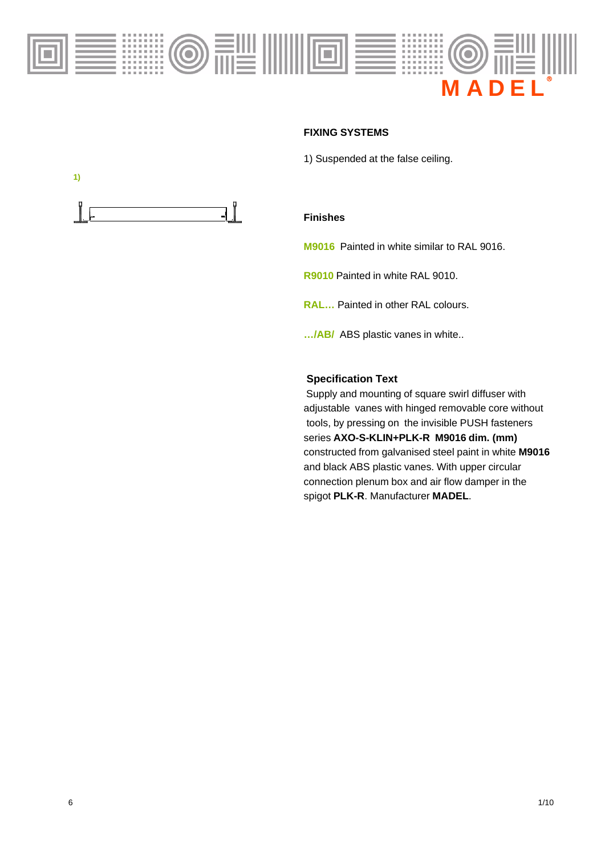

#### **FIXING SYSTEMS FIXING**

1) Suspended at the false ceiling.



### **Finishes**

**M9016** Painted in white similar to RAL 9016.

**R9010** Painted in white RAL 9010.

**RAL…** Painted in other RAL colours.

**…/AB/** ABS plastic vanes in white..

### **Specification Text**

Supply and mounting of square swirl diffuser with adjustable vanes with hinged removable core without tools, by pressing on the invisible PUSH fasteners series **AXO-S-KLIN+PLK-R M9016 dim. (mm)** constructed from galvanised steel paint in white **M9016** and black ABS plastic vanes. With upper circular connection plenum box and air flow damper in the spigot **PLK-R**. Manufacturer **MADEL**.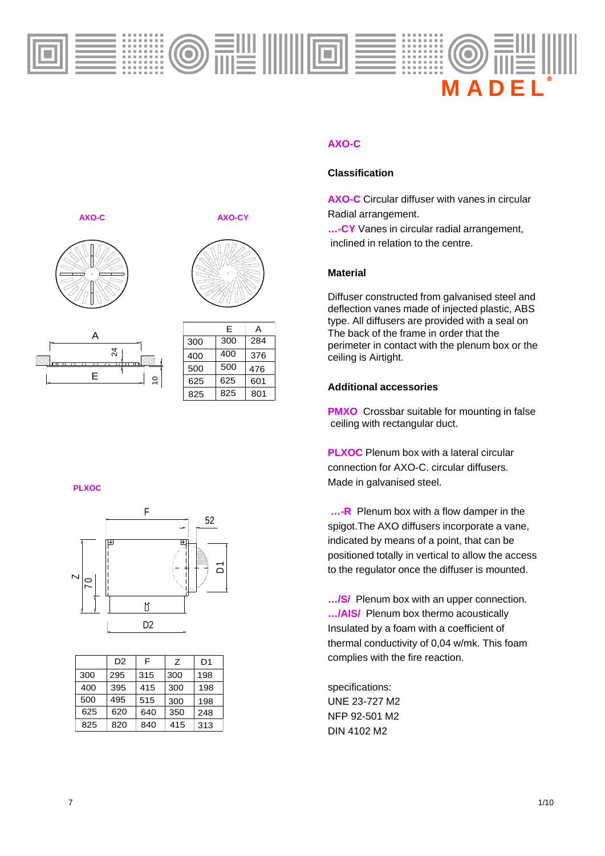

## **AXO-C AXO-CY**





|   | $\frac{5}{4}$ |
|---|---------------|
| E | ٥,            |
|   |               |

|     | F   | А   |
|-----|-----|-----|
| 300 | 300 | 284 |
| 400 | 400 | 376 |
| 500 | 500 | 476 |
| 625 | 625 | 601 |
| 825 | 825 | 801 |

#### **PLXOC**



|     | D <sub>2</sub> | F   | Ζ   | D1  |
|-----|----------------|-----|-----|-----|
| 300 | 295            | 315 | 300 | 198 |
| 400 | 395            | 415 | 300 | 198 |
| 500 | 495            | 515 | 300 | 198 |
| 625 | 620            | 640 | 350 | 248 |
| 825 | 820            | 840 | 415 | 313 |

## **AXO-C**

### **Classification**

**AXO-C** Circular diffuser with vanes in circular Radial arrangement.

**...-CY** Vanes in circular radial arrangement, inclined in relation to the centre.

### **Material**

Diffuser constructed from galvanised steel and deflection vanes made of injected plastic, ABS type. All diffusers are provided with a seal on<br>The back of the frame in order that the perimeter in contact with the plenum box or the ceiling is Airtight.

### **Additional accessories**

**PMXO** Crossbar suitable for mounting in false ceiling with rectangular duct. gg

**PLXOC** Plenum box with a lateral circular connection for AXO-C. circular diffusers. Made in galvanised steel.

**…-R** Plenum box with a flow damper in the 52<br>Solution of the AXO diffusers incorporate a vane, indicated by means of a point, that can be positioned totally in vertical to allow the access to the regulator once the diffuser is mounted.

**…/S/** Plenum box with an upper connection. **…/AIS/** Plenum box thermo acoustically  $\frac{D2}{2}$  **igns:** Insulated by a foam with a coefficient of thermal conductivity of 0,04 w/mk. This foam complies with the fire reaction.

> specifications: UNE 23-727 M2 NFP 92-501 M2 DIN 4102 M2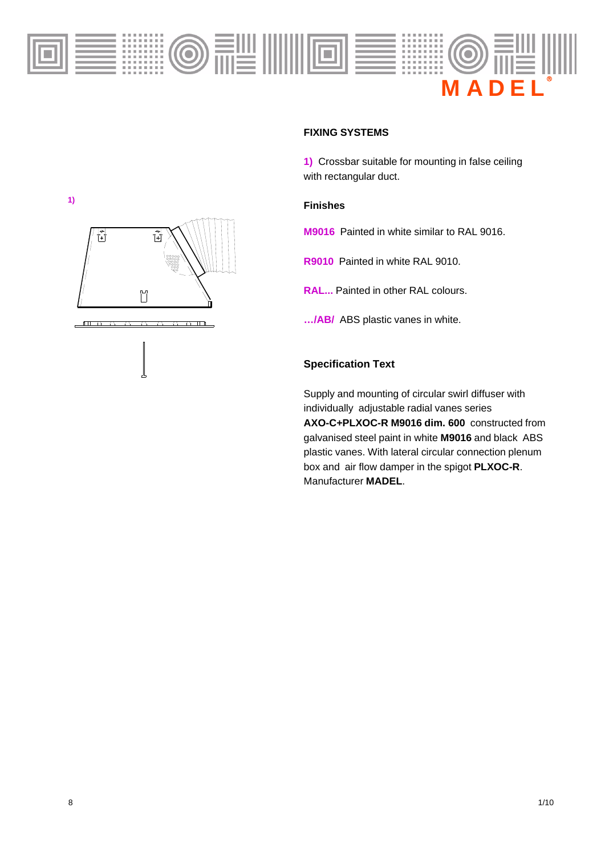

### **FIXING SYSTEMS FIXING**

**1)** Crossbar suitable for mounting in false ceiling with rectangular duct.

### **Finishes**

**M9016** Painted in white similar to RAL 9016.

**R9010** Painted in white RAL 9010.

**RAL...** Painted in other RAL colours.

**…/AB/** ABS plastic vanes in white.

### **Specification Text**

Supply and mounting of circular swirl diffuser with individually adjustable radial vanes series

**AXO-C+PLXOC-R M9016 dim. 600** constructed from galvanised steel paint in white **M9016** and black ABS plastic vanes. With lateral circular connection plenum box and air flow damper in the spigot **PLXOC-R**. Manufacturer **MADEL**.

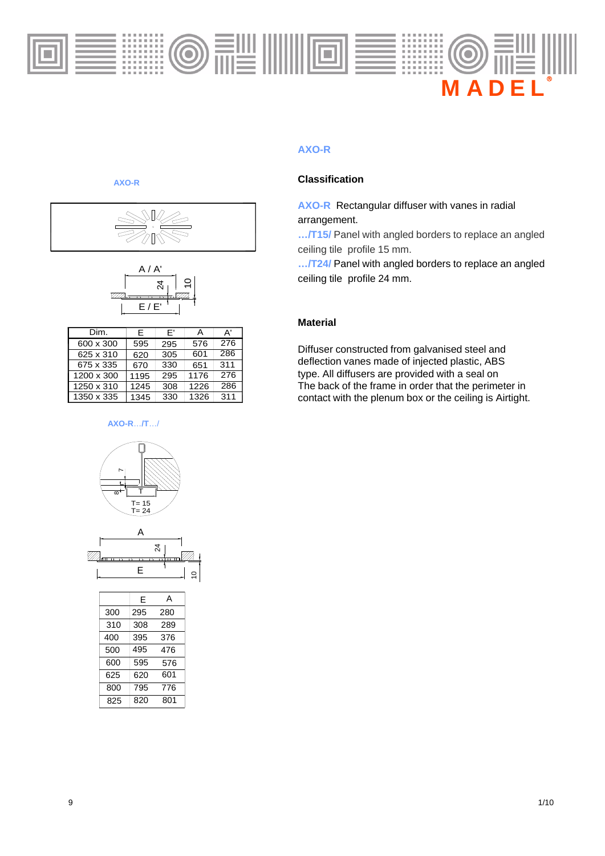

### **AXO-R**

### **Classification**

**AXO-R** Rectangular diffuser with vanes in radial arrangement.

**…/T15/** Panel with angled borders to replace an angled ceiling tile profile 15 mm.

**…/T24/** Panel with angled borders to replace an angled ceiling tile profile 24 mm.

### **Material**

Diffuser constructed from galvanised steel and deflection vanes made of injected plastic, ABS type. All diffusers are provided with a seal on The back of the frame in order that the perimeter in contact with the plenum box or the ceiling is Airtight.

### **AXO-R**





| Dim.       | F    | F'  | А    | A'  |
|------------|------|-----|------|-----|
| 600 x 300  | 595  | 295 | 576  | 276 |
| 625 x 310  | 620  | 305 | 601  | 286 |
| 675 x 335  | 670  | 330 | 651  | 311 |
| 1200 x 300 | 1195 | 295 | 1176 | 276 |
| 1250 x 310 | 1245 | 308 | 1226 | 286 |
| 1350 x 335 | 1345 | 330 | 1326 | 311 |

#### **AXO-R**…**/T**…/





|     | F   | А   |  |
|-----|-----|-----|--|
| 300 | 295 | 280 |  |
| 310 | 308 | 289 |  |
| 400 | 395 | 376 |  |
| 500 | 495 | 476 |  |
| 600 | 595 | 576 |  |
| 625 | 620 | 601 |  |
| 800 | 795 | 776 |  |
| 825 | 820 | 801 |  |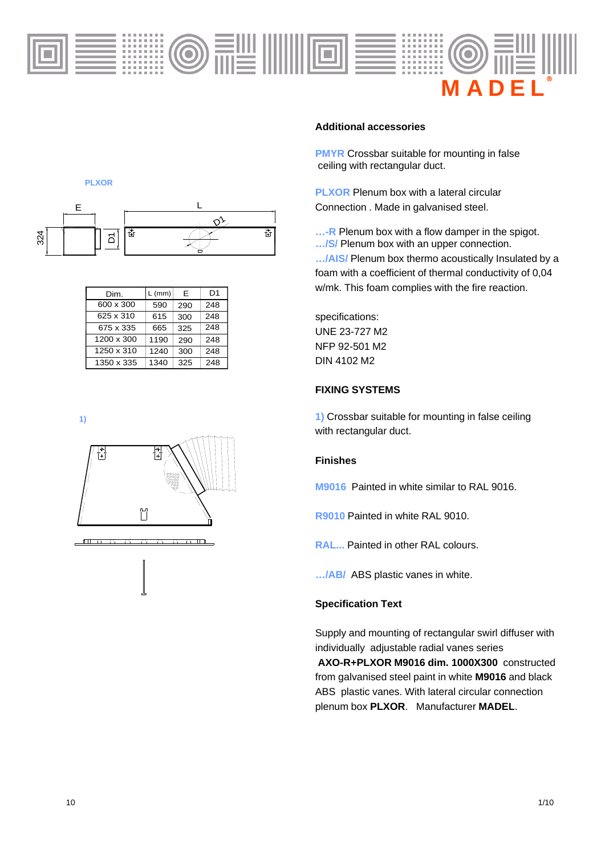



| Dim.       | $L$ (mm) | F   | D <sub>1</sub> |
|------------|----------|-----|----------------|
| 600 x 300  | 590      | 290 | 248            |
| 625 x 310  | 615      | 300 | 248            |
| 675 x 335  | 665      | 325 | 248            |
| 1200 x 300 | 1190     | 290 | 248            |
| 1250 x 310 | 1240     | 300 | 248            |
| 1350 x 335 | 1340     | 325 | 248            |

#### **Additional accessories**

**PMYR** Crossbar suitable for mounting in false ceiling with rectangular duct.

**PLXOR** Plenum box with a lateral circular Connection . Made in galvanised steel.

**...-R** Plenum box with a flow damper in the spigot. **…/S/** Plenum box with an upper connection.

**…/AIS/** Plenum box thermo acoustically Insulated by a foam with a coefficient of thermal conductivity of 0,04 w/mk. This foam complies with the fire reaction.

specifications: UNE 23-727 M2 NFP 92-501 M2 DIN 4102 M2

### **FIXING SYSTEMS**

**1)** Crossbar suitable for mounting in false ceiling with rectangular duct.

### **Finishes**

**M9016** Painted in white similar to RAL 9016.

**R9010** Painted in white RAL 9010.

**RAL...** Painted in other RAL colours.

**…/AB/** ABS plastic vanes in white.

#### **Specification Text**

Supply and mounting of rectangular swirl diffuser with individually adjustable radial vanes series

**AXO-R+PLXOR M9016 dim. 1000X300** constructed from galvanised steel paint in white **M9016** and black ABS plastic vanes. With lateral circular connection plenum box **PLXOR**. Manufacturer **MADEL**.



**PLXOR**

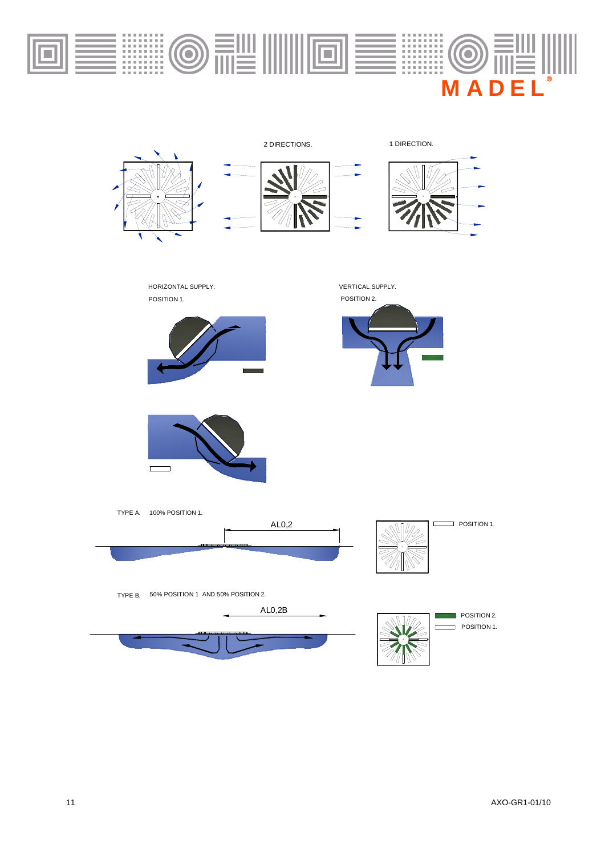

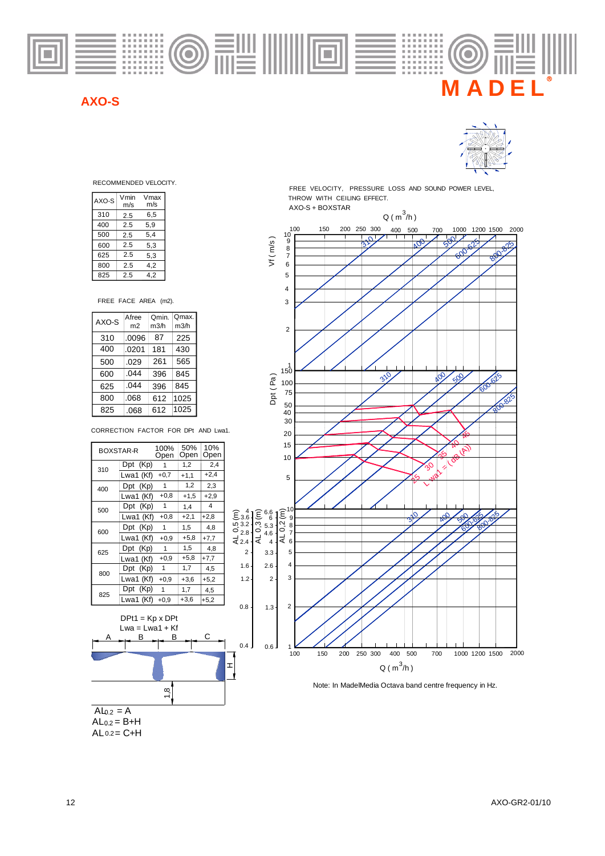

### **AXO-S**



RECOMMENDED VELOCITY.

| AXO-S | Vmin | Vmax |
|-------|------|------|
|       | m/s  | m/s  |
| 310   | 2.5  | 6,5  |
| 400   | 2.5  | 5.9  |
| 500   | 2.5  | 5,4  |
| 600   | 2.5  | 5,3  |
| 625   | 2.5  | 5,3  |
| 800   | 2.5  | 4,2  |
| 825   | 2.5  | 4,2  |

FREE FACE AREA (m2).

| AXO-S | Afree<br>m <sub>2</sub> | Qmin.<br>m3/h | Qmax.<br>m3/h |
|-------|-------------------------|---------------|---------------|
|       |                         |               |               |
| 310   | .0096                   | 87            | 225           |
| 400   | .0201                   | 181           | 430           |
| 500   | .029                    | 261           | 565           |
| 600   | .044                    | 396           | 845           |
| 625   | .044                    | 396           | 845           |
| 800   | .068                    | 612           | 1025          |
| 825   | .068                    | 612           | 1025          |

CORRECTION FACTOR FOR DPt AND Lwa1.

| <b>BOXSTAR-R</b> |                        | 100%<br>Open | 50%<br>Open | 10%<br>Open |                                         |                                                  |
|------------------|------------------------|--------------|-------------|-------------|-----------------------------------------|--------------------------------------------------|
|                  | Dpt (Kp)               | 1            | 1,2         | 2,4         |                                         |                                                  |
| 310              | Lwa1 (Kf)              | $+0,7$       | $+1,1$      | $+2,4$      |                                         |                                                  |
| 400              | Dpt (Kp)               | 1            | 1,2         | 2,3         |                                         |                                                  |
|                  | Lwa1 (Kf)              | $+0,8$       | $+1,5$      | $+2,9$      |                                         |                                                  |
| 500              | Dpt (Kp)               | $\mathbf{1}$ | 1,4         | 4           |                                         |                                                  |
|                  | Lwa1 (Kf)              | $+0,8$       | $+2,1$      | $+2,8$      | $\widetilde{\mathsf{E}}_{3.6}$          | 6.6<br>$(\frac{6}{0}, \frac{6}{0}, \frac{6}{0})$ |
|                  | Dpt (Kp)               | 1            | 1,5         | 4,8         | $103.2 +$<br>$\frac{6}{12.8}$   $\circ$ |                                                  |
| 600              | Lwa1 (Kf)              | $+0.9$       | $+5,8$      | $+7,7$      | $\vec{z}$ 2.4                           | 4.6<br>₹<br>$\overline{4}$                       |
| 625              | Dpt (Kp)               | 1            | 1,5         | 4,8         | $\overline{2}$                          | 3.3                                              |
|                  | Lwa1 (Kf)              | $+0.9$       | $+5,8$      | $+7,7$      |                                         |                                                  |
| 800              | Dpt (Kp)               | 1            | 1,7         | 4,5         | 1.6                                     | 2.6                                              |
|                  | Lwa1 (Kf)              | $+0.9$       | $+3,6$      | $+5,2$      | 1.2                                     | $\overline{2}$                                   |
| 825              | Dpt (Kp)               | 1            | 1,7         | 4,5         |                                         |                                                  |
|                  | Lwa1 (Kf)              | $+0,9$       | +3,6        | $+5,2$      |                                         |                                                  |
|                  |                        |              |             |             | 0.8                                     | 1.3                                              |
|                  | $DPt1 = Kp \times DPt$ |              |             |             |                                         |                                                  |
|                  | $Lwa = Lwa1 + Kf$      |              |             |             |                                         |                                                  |
| $\mathbf{A}$     |                        | D            |             |             |                                         |                                                  |



FREE VELOCITY, PRESSURE LOSS AND SOUND POWER LEVEL, THROW WITH CEILING EFFECT. AXO-S + BOXSTAR





 $AL_{0.2} = B + H$  $AL 0.2 = C + H$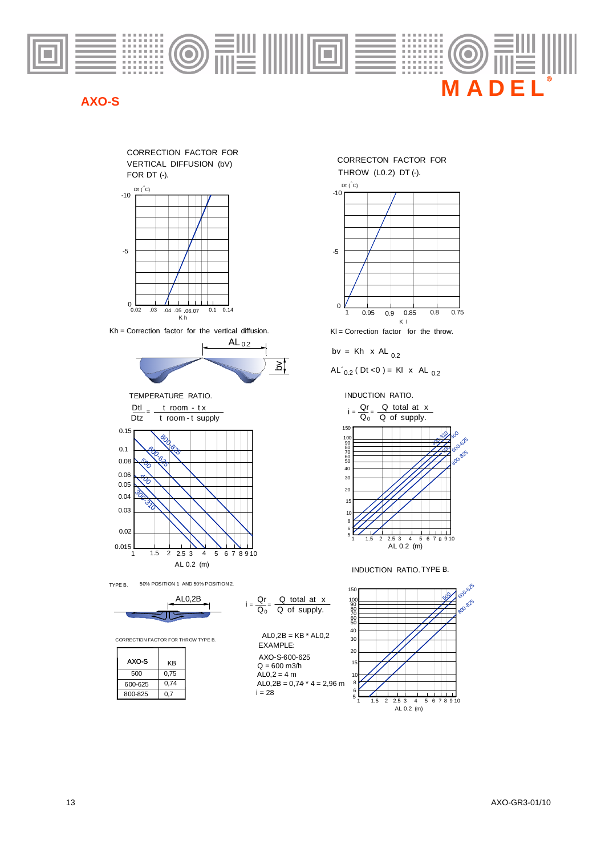

## **AXO-S**



TYPE B. 50% POSITION 1 AND 50% POSITION 2.

$$
\overbrace{\qquad \qquad }^{\text{AL0,2B}}
$$

CORRECTION FACTOR FOR THROW TYPE B.

| AXO-S   | KΒ   |
|---------|------|
| 500     | 0,75 |
| 600-625 | 0,74 |
| 800-825 | 0.7  |



$$
bv = Kh \times AL_{0.2}
$$

$$
AL'_{0.2}
$$
 (Dt < 0) = KI x AL <sub>0.2</sub>

INDUCTION RATIO.



INDUCTION RATIO.TYPE B.

 $\frac{Q}{Q}$  total at x

 $AL0,2B = KB * AL0,2$ 

Qr  $i = \frac{Q_0}{Q_0}$ 

EXAMPLE:

AXO-S-600-625

 $AL0,2 = 4 m$  $Q = 600$  m $3/h$ 

 $i = 28$ 

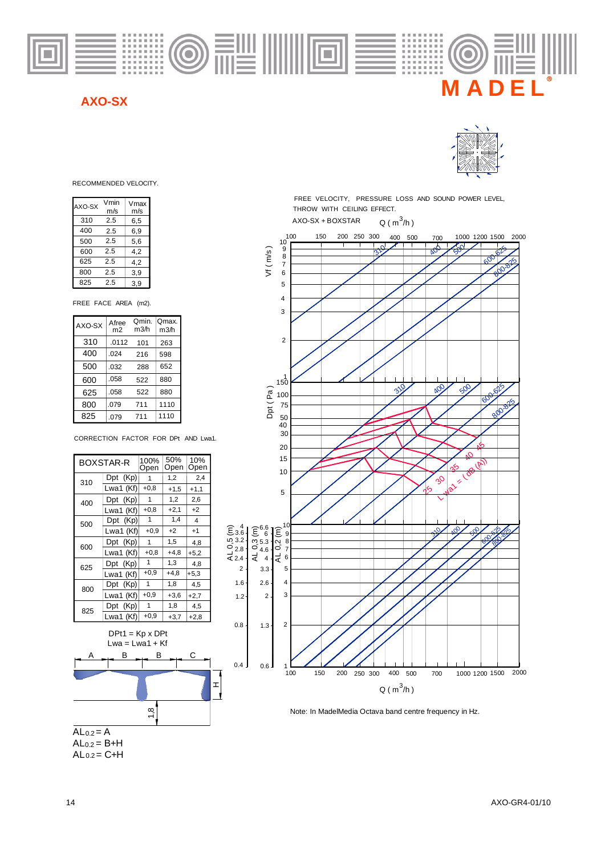

### **AXO-SX**



RECOMMENDED VELOCITY.

| AXO-SX | Vmin<br>m/s | Vmax<br>m/s |
|--------|-------------|-------------|
| 310    | 2.5         | 6,5         |
| 400    | 2.5         | 6,9         |
| 500    | 2.5         | 5,6         |
| 600    | 2.5         | 4.2         |
| 625    | 2.5         | 4,2         |
| 800    | 2.5         | 3,9         |
| 825    | 2.5         | 3.9         |

FREE FACE AREA (m2).

| AXO-SX | Afree<br>m2 | Omin.<br>m3/h | Qmax.<br>m3/h |
|--------|-------------|---------------|---------------|
| 310    | .0112       | 101           | 263           |
| 400    | .024        | 216           | 598           |
| 500    | .032        | 288           | 652           |
| 600    | .058        | 522           | 880           |
| 625    | .058        | 522           | 880           |
| 800    | .079        | 711           | 1110          |
| 825    | .079        | 711           | 1110          |

CORRECTION FACTOR FOR DPt AND Lwa1.

|     | BOXSTAR-R   | 100%<br>Open | 50%<br>Open | 10%<br>Open |                                 |                           |        |
|-----|-------------|--------------|-------------|-------------|---------------------------------|---------------------------|--------|
| 310 | Dpt (Kp)    |              | 1,2         | 2,4         |                                 |                           |        |
|     | Lwa1 (Kf)   | $+0,8$       | $+1,5$      | $+1,1$      |                                 |                           |        |
| 400 | Dpt (Kp)    | 1            | 1,2         | 2,6         |                                 |                           |        |
|     | Lwa1 (Kf)   | $+0,8$       | $+2,1$      | $+2$        |                                 |                           |        |
| 500 | Dpt (Kp)    | 1            | 1,4         | 4           |                                 |                           |        |
|     | Lwa1 $(Kf)$ | $+0.9$       | $+2$        | $+1$        | $\widehat{\xi}_{3.6}^{41}$      | $\widehat{\xi}^{6.6}_{6}$ |        |
| 600 | Dpt (Kp)    | 1            | 1,5         | 4,8         | $10.3.2 -$                      | $m$ 5.3                   | 0,2(m) |
|     | Lwa1 (Kf)   | $+0,8$       | $+4,8$      | $+5,2$      | $O_{2.8}$<br>$\overline{4}$ 2.4 | $\circ$ 4.6<br>₹          | ₹      |
| 625 | Dpt (Kp)    | $\mathbf{1}$ | 1,3         | 4,8         |                                 | 4                         |        |
|     | Lwa1 $(Kf)$ | $+0,9$       | $+4,8$      | $+5,3$      | 2                               | 3.3                       |        |
| 800 | Dpt (Kp)    | 1            | 1,8         | 4,5         | 1.6                             | 2.6                       |        |
|     | Lwa1 (Kf)   | $+0.9$       | $+3,6$      | $+2,7$      | 1.2                             | $2 \cdot$                 |        |
| 825 | Dpt (Kp)    | 1            | 1,8         | 4,5         |                                 |                           |        |
|     | Lwa1 (Kf)   | $+0.9$       | $+3,7$      | $+2,8$      |                                 |                           |        |

0.8

 $0.4$ 



 $AL<sub>0.2</sub> = B+H$  $AL<sub>0.2</sub> = C+H$  $AL<sub>0.2</sub> = A$ 

THROW WITH CEILING EFFECT. FREE VELOCITY, PRESSURE LOSS AND SOUND POWER LEVEL,





Note: In MadelMedia Octava band centre frequency in Hz.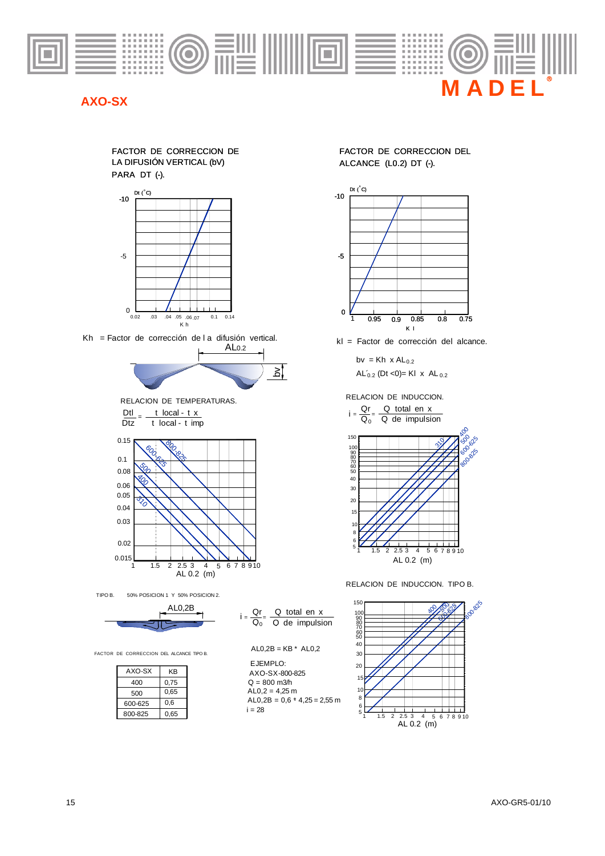

### **AXO-SX**

#### LA DIFUSIÓN VERTICAL (bV) ALCANCE (L0.2) DT (-). PARA DT (-). FACTOR DE CORRECCION DE



Kh = Factor de corrección de l a difusión vertical.







 $i = \frac{Q_0}{Q_0} = \frac{Q_0}{Q_0}$  de impulsion  $Qr = Q$  total en x

 $AL0,2B = KB * AL0,2$ 

 $AL0,2B = 0,6$  \* 4,25 = 2,55 m

EJEMPLO:

 $i = 28$ 

AXO-SX-800-825  $Q = 800$  m $3/h$ 

 $AL0.2 = 4.25 m$ 

TIPO B. 50% POSICION 1 Y 50% POSICION 2. AL0,2B

$$
\begin{array}{c}\n\mathbf{r} \xrightarrow{\text{ALU,2B}} \mathbf{r} \end{array}
$$

FACTOR DE CORRECCION DEL ALCANCE TIPO B.

| AXO-SX  | ΚB   |
|---------|------|
| 400     | 0,75 |
| 500     | 0.65 |
| 600-625 | 0.6  |
| 800-825 | 0,65 |

FACTOR DE CORRECCION DEL



kl = Factor de corrección del alcance.

bv = Kh  $x$  AL<sub>0.2</sub>  $AL'_{0.2}$  (Dt <0)= Kl  $\times$  AL $_{0.2}$ 

RELACION DE INDUCCION.



RELACION DE INDUCCION. TIPO B.

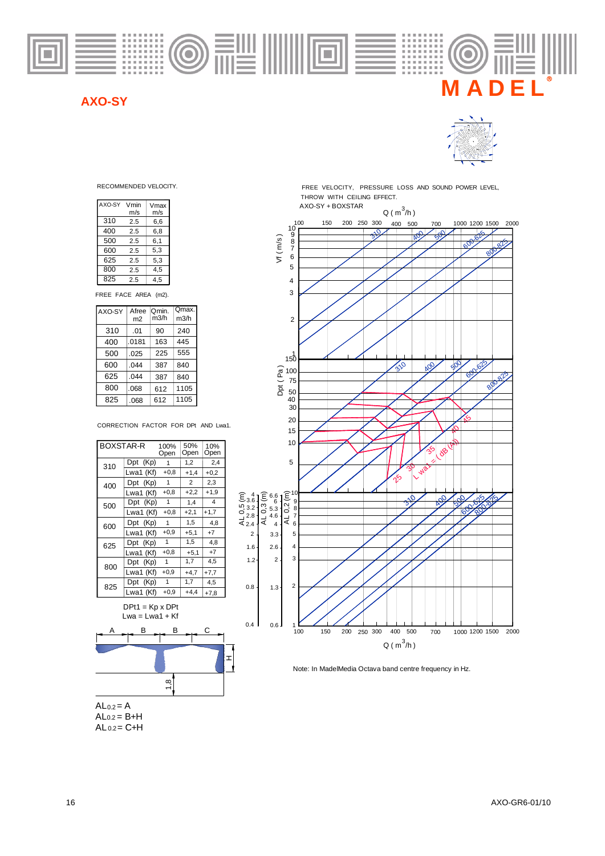

### **AXO-SY**



| AXO-SY | Vmin | Vmax |
|--------|------|------|
|        | m/s  | m/s  |
| 310    | 2.5  | 6,6  |
| 400    | 2.5  | 6,8  |
| 500    | 2.5  | 6,1  |
| 600    | 2.5  | 5,3  |
| 625    | 2.5  | 5,3  |
| 800    | 2.5  | 4,5  |
| 825    | 2.5  | 4.5  |

FREE FACE AREA (m2).

| AXO-SY | Afree<br>m2 | Omin.<br>m3/h | Qmax.<br>m3/h |
|--------|-------------|---------------|---------------|
| 310    | .01         | 90            | 240           |
| 400    | .0181       | 163           | 445           |
| 500    | .025        | 225           | 555           |
| 600    | .044        | 387           | 840           |
| 625    | .044        | 387           | 840           |
| 800    | .068        | 612           | 1105          |
| 825    | .068        | 612           | 1105          |

CORRECTION FACTOR FOR DPt AND Lwa1.

| BOXSTAR-R |           | 100%<br>Open | 50%<br>Open    | 10%<br>Open |
|-----------|-----------|--------------|----------------|-------------|
| 310       | Dpt (Kp)  | 1            | 1,2            | 2,4         |
|           | Lwa1 (Kf) | $+0,8$       | $+1,4$         | $+0.2$      |
| 400       | Dpt (Kp)  | $\mathbf{1}$ | $\overline{2}$ | 2,3         |
|           | Lwa1 (Kf) | $+0,8$       | $+2.2$         | $+1,9$      |
| 500       | Dpt (Kp)  | 1            | 1,4            | 4           |
|           | Lwa1 (Kf) | $+0,8$       | $+2,1$         | $+1,7$      |
| 600       | Dpt (Kp)  | 1            | 1.5            | 4,8         |
|           | Lwa1 (Kf) | $+0.9$       | $+5,1$         | $+7$        |
| 625       | Dpt (Kp)  | 1            | 1,5            | 4,8         |
|           | Lwa1 (Kf) | $+0,8$       | $+5.1$         | $+7$        |
| 800       | Dpt (Kp)  | 1            | 1,7            | 4.5         |
|           | Lwa1 (Kf) | $+0,9$       | $+4,7$         | $+7,7$      |
| 825       | Dpt (Kp)  | 1            | 1,7            | 4.5         |
|           | Lwa1 (Kf) | $+0,9$       | $+4.4$         | $+7.8$      |
|           |           |              |                |             |

 $DPt1 = Kp \times DPt$ 



RECOMMENDED VELOCITY. THE STATE REFORM THE SECOMMENT SOUND POWER LEVEL, THROW WITH CEILING EFFECT.



Note: In MadelMedia Octava band centre frequency in Hz.

 $AL<sub>0.2</sub> = A$  $AL<sub>0.2</sub> = C+H$  $AL<sub>0.2</sub> = B+H$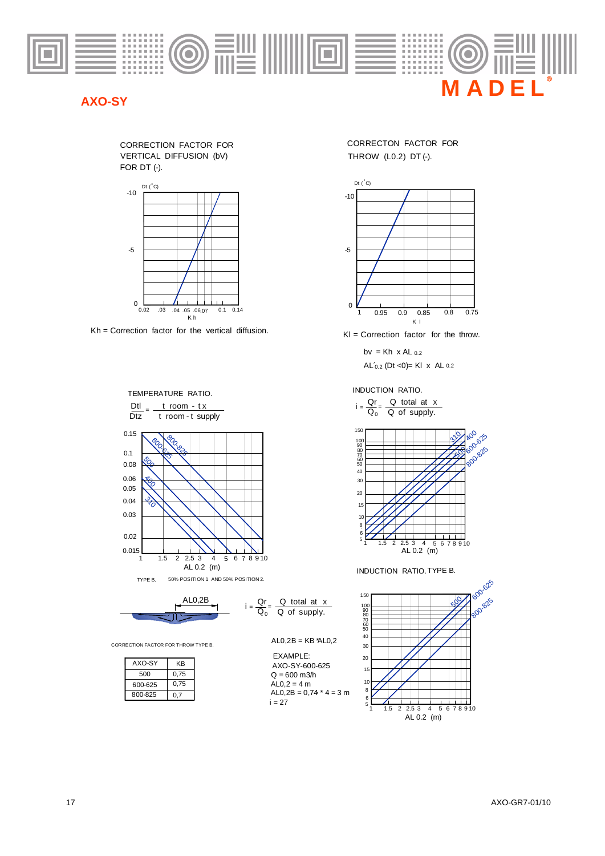

### **AXO-SY**





 $Kh =$  Correction factor for the vertical diffusion.  $Kl =$  Correction factor for the throw.





 $Q_0$  Q of supply.

EXAMPLE:

 $Q = 600$  m $3/h$  $AL0,2 = 4 m$ 

AXO-SY-600-625

 $i = 27$ 

AL0,2B =  $0,74$   $*$  4 = 3 m

 $i =$ 

CORRECTION FACTOR FOR THROW TYPE B.

| AXO-SY  | KΒ   |
|---------|------|
| 500     | 0,75 |
| 600-625 | 0.75 |
| 800-825 | 0.7  |
|         |      |

THROW (L0.2) DT (-). CORRECTON FACTOR FOR



 $AL'_{0.2}$  (Dt <0)= Kl x AL 0.2  $bv = Kh \times AL$  0.2

INDUCTION RATIO.

 $i = \frac{Q_1}{Q_0} = \frac{Q_1}{Q_0}$  of supply.  $\frac{Qr}{Q} = \frac{Q \text{ total at } x}{Q \text{ cm}}$ 



INDUCTION RATIO.TYPE B.

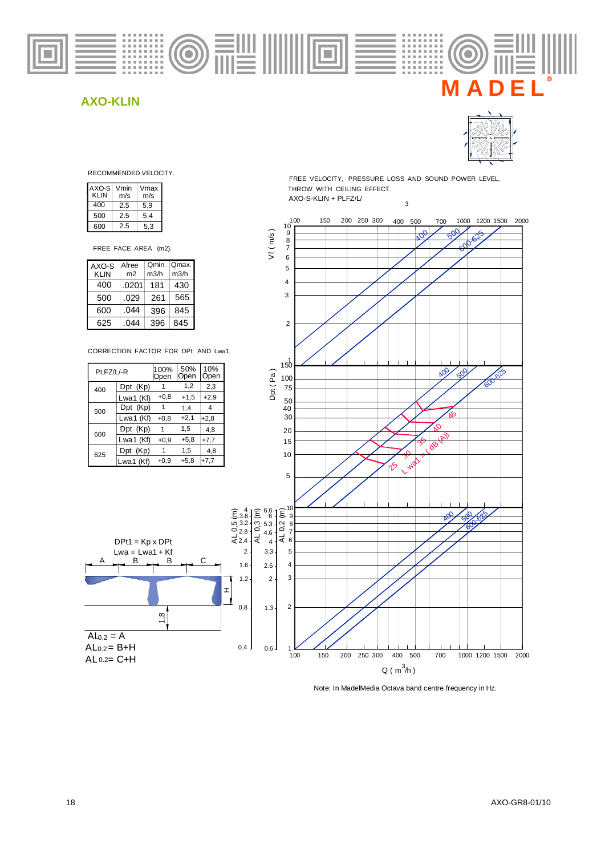



RECOMMENDED VELOCITY.

| AXO-S<br>KLIN | Vmin<br>m/s | Vmax<br>m/s |
|---------------|-------------|-------------|
| 400           | 2.5         | 5,9         |
| 500           | 2.5         | 5,4         |
| 600           | 2.5         | 5,3         |

FREE FACE AREA (m2).

| AXO-S       | Afree          | Qmin. | Omax. |
|-------------|----------------|-------|-------|
| <b>KLIN</b> | m <sub>2</sub> | m3/h  | m3/h  |
| 400         | .0201          | 181   | 430   |
| 500         | .029           | 261   | 565   |
| 600         | .044           | 396   | 845   |
| 625         | በ44            | 396   | 845   |

CORRECTION FACTOR FOR DPt AND Lwa1.



B

 $DPt1 = Kp \times DPt$  $Lwa = Lwa1 + Kf$ B

A

 $Al_{0.2} = A$ 

 $AL 0.2 = C + H$  $AL<sub>0.2</sub> = B+H$  1,8

FREE VELOCITY, PRESSURE LOSS AND SOUND POWER LEVEL, THROW WITH CEILING EFFECT.

3

 $AXO-S-KLIN+PLFZ/L/$ 



Note: In MadelMedia Octava band centre frequency in Hz.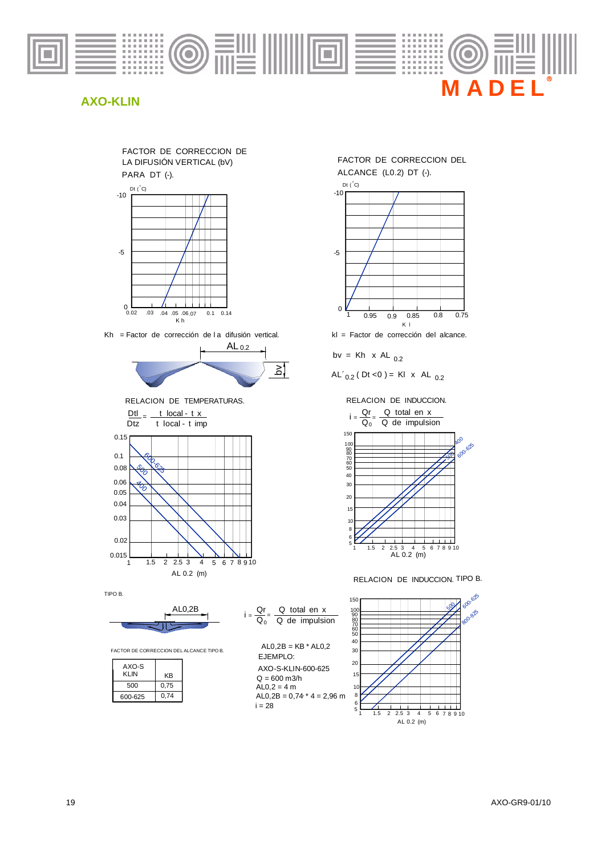





Kh = Factor de corrección de la difusión vertical.



RELACION DE TEMPERATURAS.



TIPO B.



FACTOR DE CORRECCION DEL ALCANCE TIPO B.

| AXO-S<br>KI IN | KB   |
|----------------|------|
| 500            | 0,75 |
| 600-625        | 0.74 |

| Q total en x<br>Qr                           |
|----------------------------------------------|
| $\overline{Q_0}$ $\overline{Q}$ de impulsion |
|                                              |
| $AL0.2B = KB * AL0.2$                        |
| F.IFMPI O <sup>.</sup>                       |
| AXO-S-KLIN-600-625                           |
| $Q = 600$ m3/h                               |
| $AL0,2 = 4 m$                                |
| $AL0,2B = 0.74 * 4 = 2.96$ m                 |
| i = 28                                       |



$$
bv = Kh \times AL_{0.2}
$$

$$
AL'_{0.2}
$$
 (Dt < 0) = KI x AL <sub>0.2</sub>

RELACION DE INDUCCION.



RELACION DE INDUCCION. TIPO B.

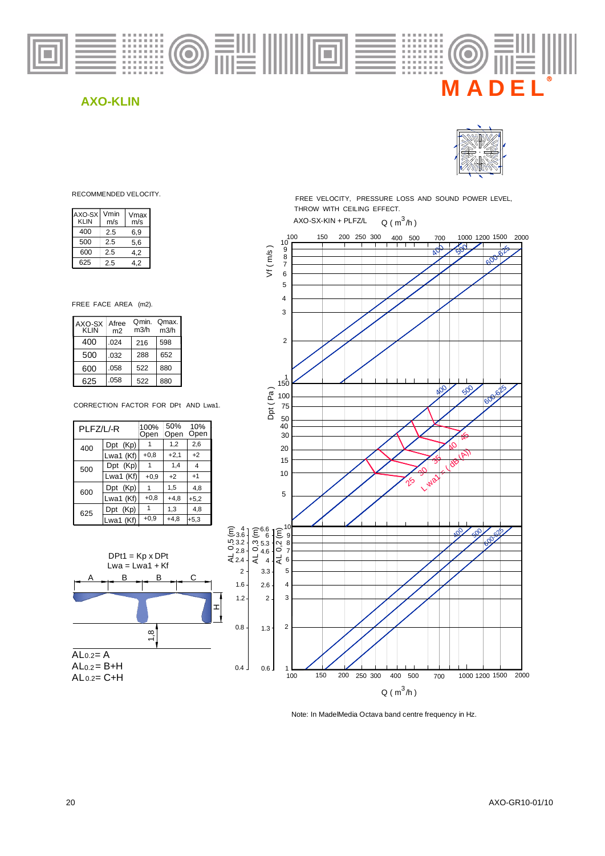



RECOMMENDED VELOCITY.

| AXO-SX<br><b>KLIN</b> | Vmin<br>m/s | Vmax<br>m/s |
|-----------------------|-------------|-------------|
| 400                   | 2.5         | 6.9         |
| 500                   | 2.5         | 5,6         |
| 600                   | 2.5         | 4.2         |
| 625                   | 25          | 42          |

FREE FACE AREA (m2).

| AXO-SX<br><b>KLIN</b> | Afree<br>m <sub>2</sub> | Omin.<br>m3/h | Qmax.<br>m3/h |
|-----------------------|-------------------------|---------------|---------------|
| 400                   | .024                    | 216           | 598           |
| 500                   | .032                    | 288           | 652           |
| 600                   | .058                    | 522           | 880           |
| 625                   | .058                    | 522           | 880           |

CORRECTION FACTOR FOR DPt AND Lwa1.

| PLFZ/L/-R |             | 100%<br>Open | 50%<br>Open | 10%<br>Open |
|-----------|-------------|--------------|-------------|-------------|
| 400       | Dpt (Kp)    |              | 1,2         | 2,6         |
|           | Lwa1 (Kf)   | $+0.8$       | $+2,1$      | $+2$        |
| 500       | Dpt (Kp)    |              | 1,4         | 4           |
|           | Lwa1 (Kf)   | $+0.9$       | $+2$        | $+1$        |
| 600       | Dpt (Kp)    |              | 1,5         | 4,8         |
|           | Lwa1 (Kf)   | $+0.8$       | $+4,8$      | $+5,2$      |
| 625       | Dpt<br>(Kp) | 1            | 1,3         | 4,8         |
|           | Lwa1 (Kf)   | $+0.9$       | $+4.8$      | $+5,3$      |



THROW WITH CEILING EFFECT. FREE VELOCITY, PRESSURE LOSS AND SOUND POWER LEVEL, AXO-SX-KIN + PLFZ/L  $Q ( m<sup>3</sup>/h )$ 



Note: In MadelMedia Octava band centre frequency in Hz.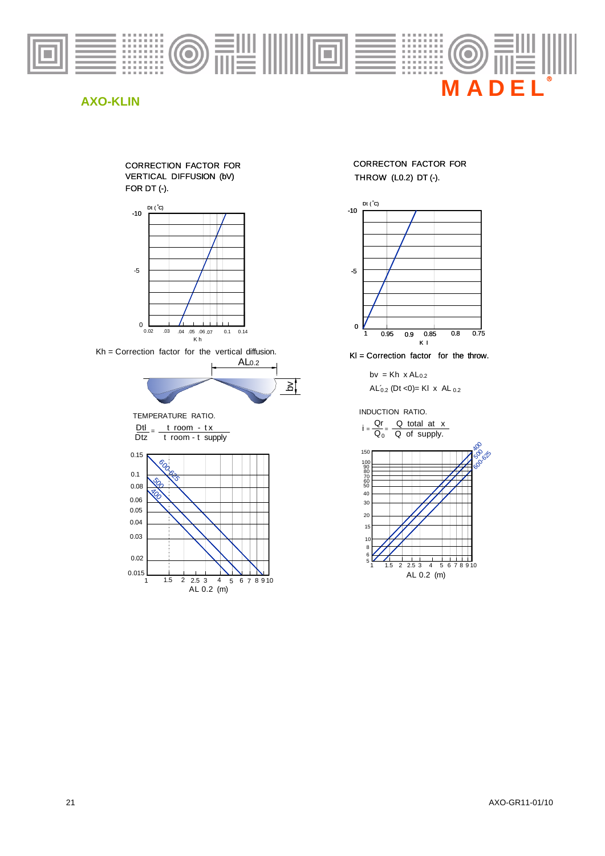

#### CORRECTION FACTOR FOR VERTICAL DIFFUSION (bV) FOR DT (-).



Kh = Correction factor for the vertical diffusion.



TEMPERATURE RATIO.

 $\frac{Dtl}{Dtz} = \frac{t \text{ room} - tx}{t \text{ room} - t \text{ supply}}$ 



CORRECTON FACTOR FOR THROW (L0.2) DT (-).



Kl = Correction factor for the throw.

bv =  $Kh \times Al_{0.2}$  $AL'_{0.2}$  (Dt <0)= Kl  $\times$  AL  $_{0.2}$ 

INDUCTION RATIO.

$$
i = \frac{Qr}{Q_0} = \frac{Q \text{ total at } x}{Q \text{ of supply.}}
$$

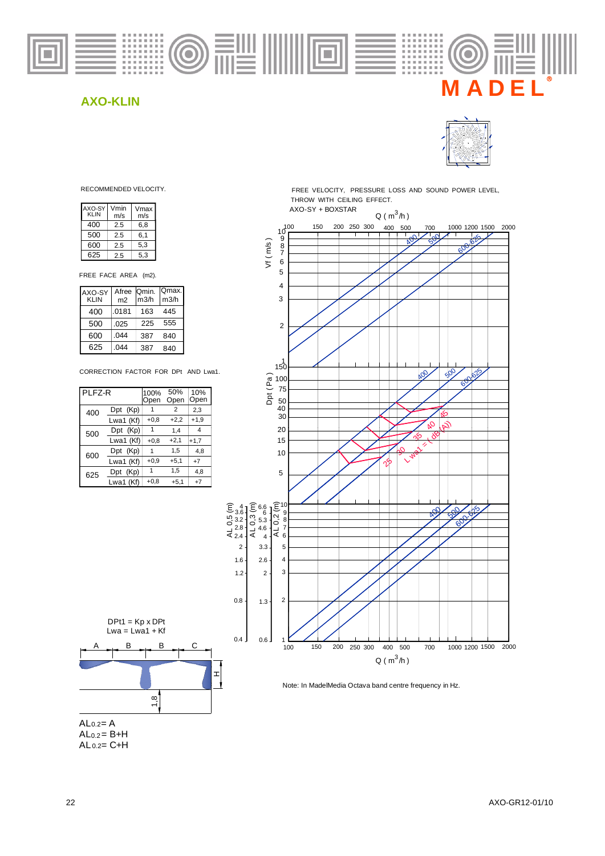



| AXO-SY<br>KLIN | Vmin<br>m/s | Vmax<br>m/s |
|----------------|-------------|-------------|
| 400            | 2.5         | 6,8         |
| 500            | 2.5         | 6,1         |
| 600            | 2.5         | 5,3         |
| 625            | 2.5         | 5.3         |

FREE FACE AREA (m2).

| AXO-SY<br><b>KLIN</b> | Afree   Qmin.<br>m <sub>2</sub> | m3/h | Qmax.<br>m3/h |
|-----------------------|---------------------------------|------|---------------|
| 400                   | .0181                           | 163  | 445           |
| 500                   | .025                            | 225  | 555           |
| 600                   | .044                            | 387  | 840           |
| 625                   | .044                            | 387  | 840           |

CORRECTION FACTOR FOR DPt AND Lwa1.

| PLFZ-R |             | 100%<br>Open | 50%<br>Open    | 10%<br>Open |
|--------|-------------|--------------|----------------|-------------|
| 400    | Dpt (Kp)    |              | $\overline{2}$ | 2,3         |
|        | Lwa1 (Kf)   | $+0,8$       | $+2,2$         | $+1,9$      |
| 500    | Dpt (Kp)    |              | 1.4            | 4           |
|        | Lwa1 (Kf)   | $+0,8$       | $+2,1$         | $+1,7$      |
| 600    | Dpt (Kp)    |              | 1,5            | 4.8         |
|        | Lwa1 (Kf)   | $+0.9$       | $+5,1$         | $+7$        |
| 625    | (Kp)<br>Dpt | 1            | 1,5            | 4,8         |
|        | Lwa1 (Kf)   | $+0,8$       | $+5,1$         | $+7$        |

DPt1 = Kp x DPt

 $Lwa = Lwa1 + Kf$ 

 $A \rightarrow B \rightarrow B \rightarrow C$ 

B

1,8

 $\pm$ 

RECOMMENDED VELOCITY. THE STATE REFORM FREE VELOCITY, PRESSURE LOSS AND SOUND POWER LEVEL, THROW WITH CEILING EFFECT.





AL<sub>0.2</sub> - A

 $AL 0.2 = C + H$  $AL<sub>0.2</sub> = B+H$ 

22 AXO-GR12-01/10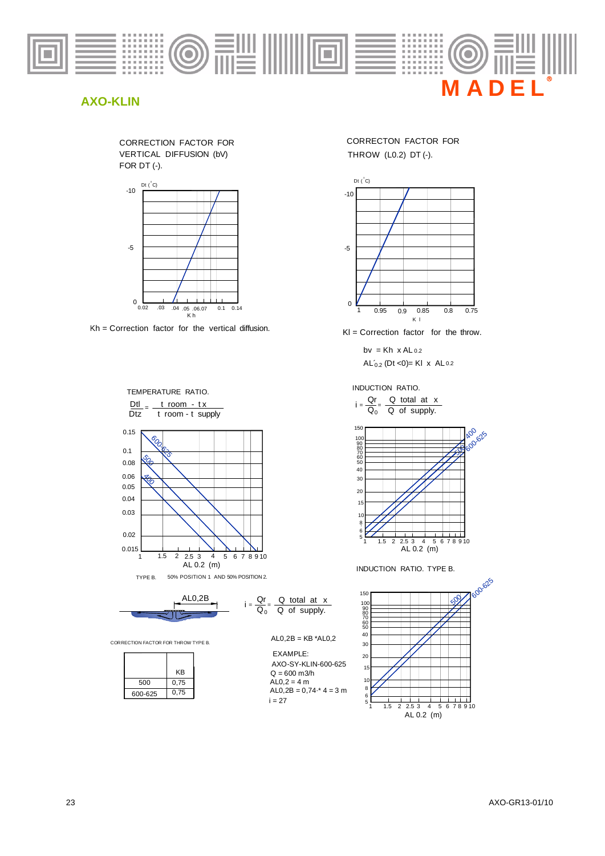







 $Dtz$ <sup>-</sup> t room - t supply  $\frac{\text{Dtl}}{\text{d}t} = \frac{t \text{ room} - tx}{t \text{ room} + tx}$ TEMPERATURE RATIO.

0.15 0.1 0.08

0.04 0.05

0.06

0.03

0.015 1

 $\bigotimes$  $\frac{\sqrt[6]{2}}{2}$ 

eocococo

THROW (L0.2) DT (-). CORRECTON FACTOR FOR



 $KI =$  Correction factor for the throw.

 $AL'_{0.2}$  (Dt <0)= KI x AL 0.2  $bv = Kh \times AL_{0.2}$ 

INDUCTION RATIO.

 $i = \frac{Q_0}{Q_0}$  $Qr = Q$  total at x Q of supply.



INDUCTION RATIO. TYPE B.





1.5 2 2.5 3 4 5 AL 0.2 (m)

6 7 8 9 10

CORRECTION FACTOR FOR THROW TYPE B.

|         | ΚB   |
|---------|------|
| 500     | 0,75 |
| 600-625 | 0,75 |



EXAMPLE:  $ALO, 2B = 0, 74$   $*$  4 = 3 m  $Q = 600$  m $3/h$  $AL0,2 = 4 m$  $i = 27$ AXO-SY-KLIN-600-625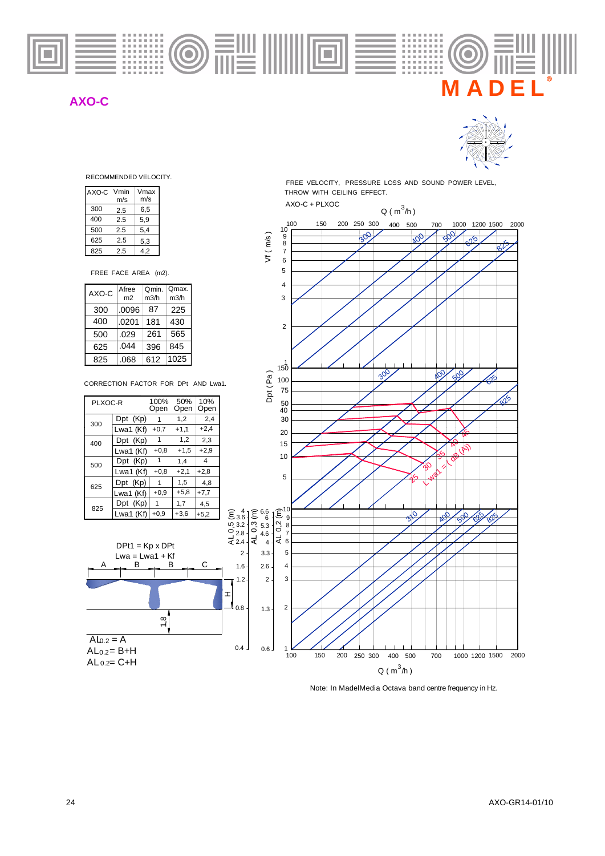

## **AXO-C**



RECOMMENDED VELOCITY.

| AXO-C | Vmin<br>m/s | Vmax<br>m/s |
|-------|-------------|-------------|
| 300   | 2.5         | 6.5         |
| 400   | 2.5         | 5.9         |
| 500   | 2.5         | 5,4         |
| 625   | 2.5         | 5,3         |
| 825   | 2.5         | 42          |

| 500                  |  | 2.5            |  | 5,4   |  |       |  |
|----------------------|--|----------------|--|-------|--|-------|--|
| 625                  |  | 2.5            |  | 5,3   |  |       |  |
| 825                  |  | 2.5            |  | 4,2   |  |       |  |
| FREE FACE AREA (m2). |  |                |  |       |  |       |  |
| AXO-C                |  | Afree          |  | Omin. |  | Omax. |  |
|                      |  | m <sub>2</sub> |  | m3/h  |  | m3/h  |  |
| 300                  |  | .0096          |  | 87    |  | 225   |  |
| 400                  |  | .0201          |  | 181   |  | 430   |  |
| 500                  |  | .029           |  | 261   |  | 565   |  |
| 625                  |  | .044           |  | 396   |  | 845   |  |
| 825                  |  | .068           |  | 612   |  | 1025  |  |

CORRECTION FACTOR FOR DPt AND Lwa1.

| PLXOC-R |           | 100%<br>Open | 50%<br>Open | 10%<br>Open    |
|---------|-----------|--------------|-------------|----------------|
| 300     | Dpt (Kp)  |              | 1,2         | 2,4            |
|         | Lwa1 (Kf) | $+0,7$       | $+1,1$      | $+2,4$         |
| 400     | Dpt (Kp)  | 1            | 1,2         | 2,3            |
|         | Lwa1 (Kf) | $+0,8$       | $+1,5$      | $+2.9$         |
| 500     | Dpt (Kp)  | 1            | 1.4         | $\overline{4}$ |
|         | Lwa1 (Kf) | $+0,8$       | $+2,1$      | $+2,8$         |
| 625     | Dpt (Kp)  | 1            | 1,5         | 4.8            |
|         | Lwa1 (Kf) | $+0.9$       | $+5,8$      | $+7,7$         |
| 825     | Dpt (Kp)  | 1            | 1,7         | 4,5            |
|         | Lwa1 (Kf) | $+0.9$       | $+3,6$      | $+5,2$         |



FREE VELOCITY, PRESSURE LOSS AND SOUND POWER LEVEL, THROW WITH CEILING EFFECT.



Note: In MadelMedia Octava band centre frequency in Hz.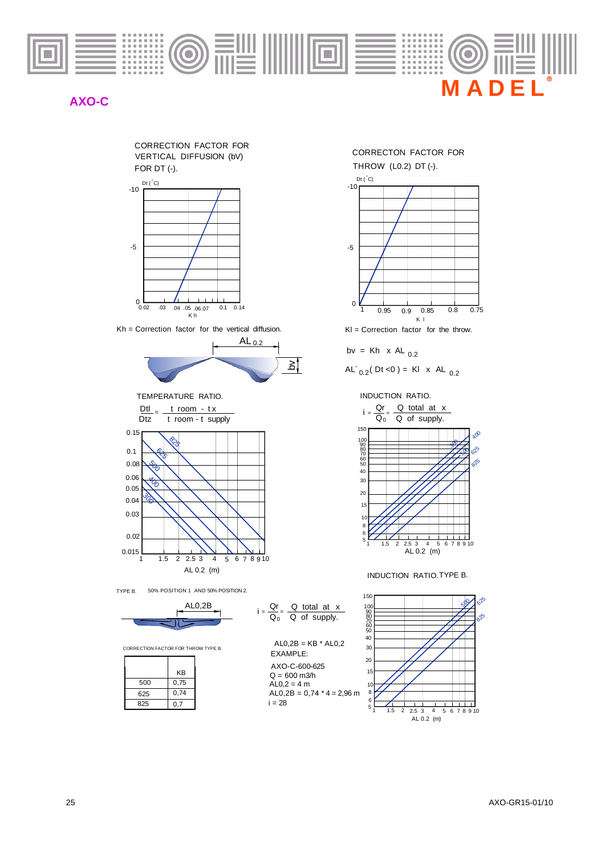

## **AXO-C**





Kh = Correction factor for the vertical diffusion Kh = Correction factor for the vertical diffusion.



 $\frac{\text{Dtl}}{\text{d}t} = \frac{t \text{ room} - tx}{t \text{ m}}$ TEMPERATURE RATIO.



TYPE B. 50% POSITION 1 AND 50% POSITION 2.



CORRECTION FACTOR FOR THROW TYPE B.

|     | KВ   |
|-----|------|
| 500 | 0,75 |
| 625 | 0,74 |
| 825 | 0,7  |



EXAMPLE:  $AL0,2B = KB * AL0,2$  $AL0,2 = 4 m$  $Q = 600$  m $3/h$ AXO-C-600-625

 $AL0,2B = 0,74 * 4 = 2,96$  m  $i = 28$ 





 $KI =$  Correction factor for the throw.

$$
bv = Kh \times AL_{0.2}
$$

$$
AL'_{0.2}
$$
(Dt <0) = KI x AL <sub>0.2</sub>

INDUCTION RATIO.



INDUCTION RATIO.TYPE B.

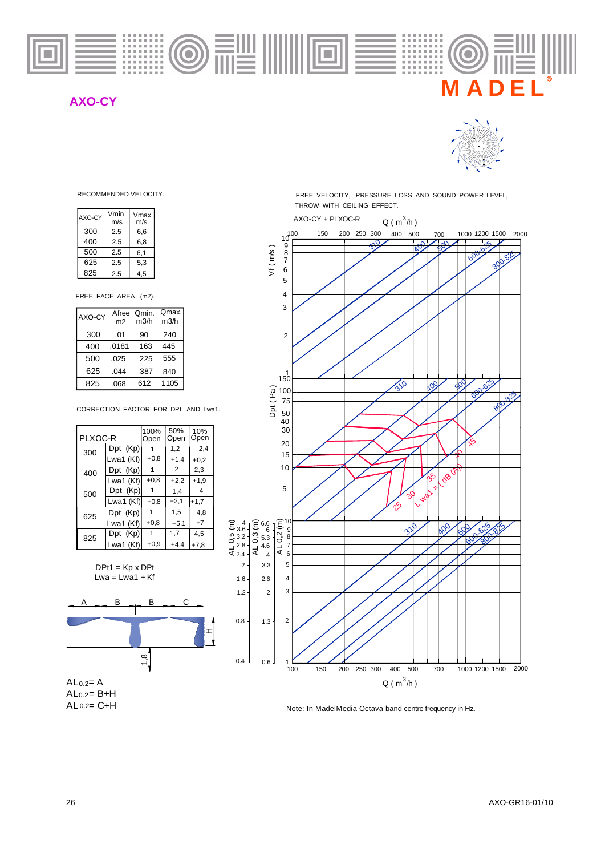

## **AXO-CY**



| AXO-CY                     | Vmin<br>m/s | Vmax<br>m/s   |              |  |
|----------------------------|-------------|---------------|--------------|--|
| 300                        | 2.5         | 6,6           |              |  |
| 400                        | 2.5         | 6,8           |              |  |
| 500                        | 2.5         | 6,1           |              |  |
| 625                        | 2.5         | 5,3           |              |  |
| 825                        | 2.5         | 4,5           |              |  |
| FREE FACE AREA<br>$(m2)$ . |             |               |              |  |
| AXO-CY                     | Afree<br>m2 | Qmin.<br>m3/h | Qmax<br>m3/h |  |

| IAXO-CY | Afree<br>m <sub>2</sub> | Qmin.<br>m3/h | Qmax.<br>m3/h |
|---------|-------------------------|---------------|---------------|
| 300     | .01                     | 90            | 240           |
| 400     | .0181                   | 163           | 445           |
| 500     | .025                    | 225           | 555           |
| 625     | .044                    | 387           | 840           |
| 825     | .068                    | 612           | 1105          |

CORRECTION FACTOR FOR DPt AND Lwa1.

| PLXOC-R |           | 100%<br>Open | 50%<br>Open    | 10%<br>Open    |
|---------|-----------|--------------|----------------|----------------|
| 300     | Dpt (Kp)  | 1            | 1,2            | 2,4            |
|         | Lwa1 (Kf) | $+0,8$       | $+1,4$         | $+0.2$         |
| 400     | Dpt (Kp)  | 1            | $\overline{2}$ | 2,3            |
|         | Lwa1 (Kf) | $+0.8$       | $+2,2$         | $+1.9$         |
| 500     | Dpt (Kp)  | 1            | 1.4            | $\overline{4}$ |
|         | Lwa1 (Kf) | $+0.8$       | $+2,1$         | $+1,7$         |
| 625     | Dpt (Kp)  | 1            | 1,5            | 4.8            |
|         | Lwa1 (Kf) | $+0.8$       | $+5.1$         | $+7$           |
| 825     | Dpt (Kp)  | -1           | 1,7            | 4,5            |
|         | Lwa1 (Kf) | $+0,9$       | $+4.4$         | $+7,8$         |

 $DPt1 = Kp \times DPt$  $Lwa = Lwa1 + Kf$ 





RECOMMENDED VELOCITY. THE REE VELOCITY, PRESSURE LOSS AND SOUND POWER LEVEL, THROW WITH CEILING EFFECT.



Note: In MadelMedia Octava band centre frequency in Hz.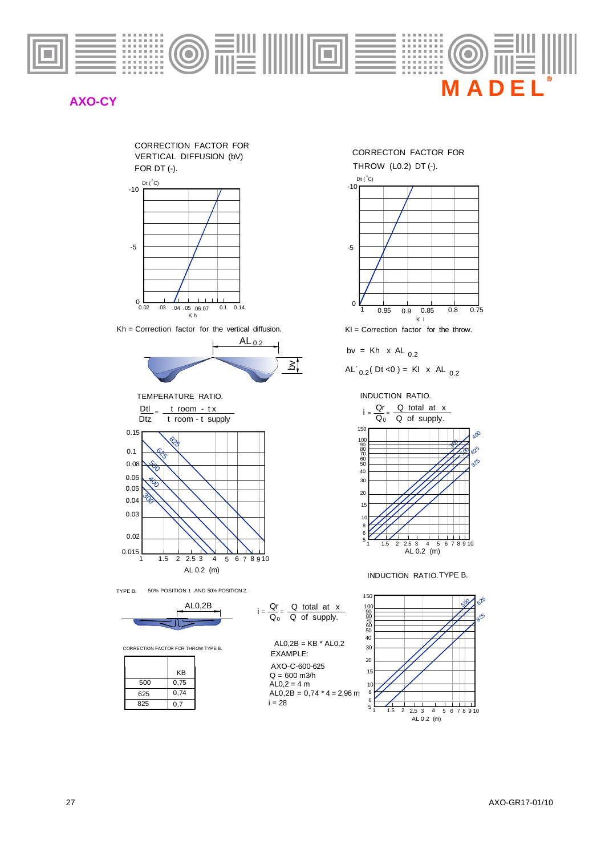

## **AXO-CY**





Kh = Correction factor for the vertical diffusion Kh = Correction factor for the vertical diffusion.



 $\frac{\text{Dtl}}{\text{d}t} = \frac{t \text{ room} - tx}{t \text{ m}}$ TEMPERATURE RATIO.



TYPE B. 50% POSITION 1 AND 50% POSITION 2.



CORRECTION FACTOR FOR THROW TYPE B.

|     | KB   |
|-----|------|
| 500 | 0,75 |
| 625 | 0,74 |
| 825 | 0,7  |



EXAMPLE:  $AL0,2B = KB * AL0,2$  $AL0,2 = 4 m$  $Q = 600$  m $3/h$ AXO-C-600-625

 $AL0,2B = 0,74 * 4 = 2,96$  m  $i = 28$ 





 $KI =$  Correction factor for the throw.

$$
bv = Kh \times AL_{0.2}
$$

$$
AL'_{0.2}
$$
(Dt < 0) = KI x AL <sub>0.2</sub>

INDUCTION RATIO.



INDUCTION RATIO.TYPE B.

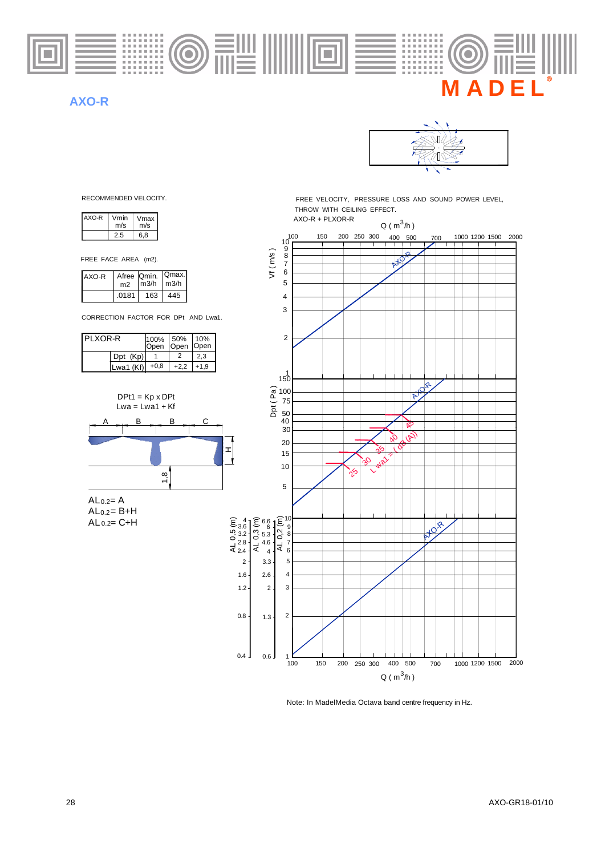

### **AXO-R**



| AXO-R | Vmin<br>m/s | Vmax<br>m/s |
|-------|-------------|-------------|
|       | 25          | 6.8         |

FREE FACE AREA (m2).

| AXO-R | m2    | Afree Qmin.   Qmax.<br>$\mid$ m3/h | $\mid$ m3/h |
|-------|-------|------------------------------------|-------------|
|       | .0181 | 163                                | 445         |

CORRECTION FACTOR FOR DPt AND Lwa1.

| PI XOR-R |            | 100% 50% 10% |             | Open Open Open |
|----------|------------|--------------|-------------|----------------|
|          | $Dpt$ (Kp) |              |             | 2.3            |
|          | Lwa1 (Kf)  | $+0.8$       | $+2,2$ +1,9 |                |



 $AL 0.2 = C + H$  $AL<sub>0.2</sub> = B+H$ 

RECOMMENDED VELOCITY. THE STATE OF THE VELOCITY, PRESSURE LOSS AND SOUND POWER LEVEL, THROW WITH CEILING EFFECT.<br>AXO-R + PLXOR-R



Note: In MadelMedia Octava band centre frequency in Hz.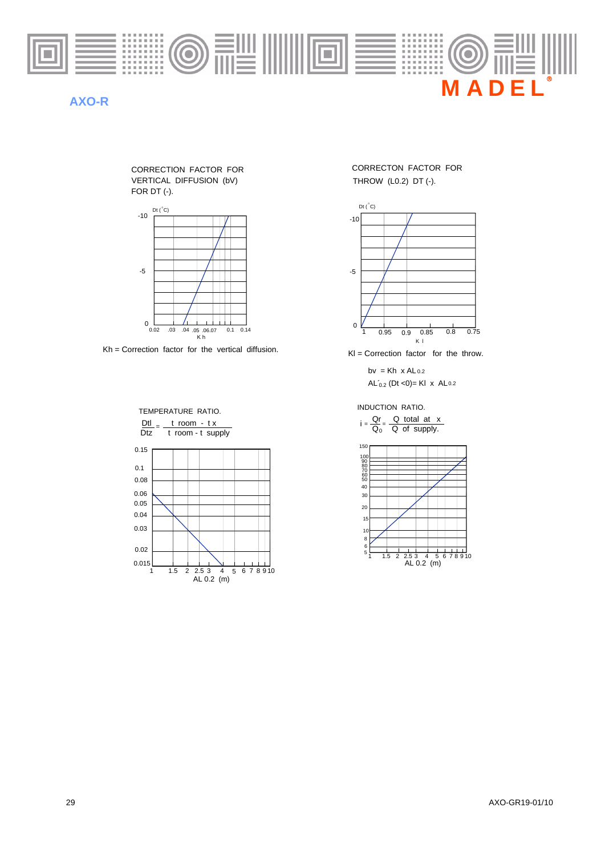

## **AXO-R**

FOR DT (-). VERTICAL DIFFUSION (bV) CORRECTION FACTOR FOR



 $Kh =$  Correction factor for the vertical diffusion.  $KI =$  Correction factor for the throw.



THROW (L0.2) DT (-). CORRECTON FACTOR FOR



 $AL'_{0.2}$  (Dt <0)= Kl x AL0.2 bv = Kh  $x$  AL<sub>0.2</sub>

INDUCTION RATIO.

 $i = \frac{Qr}{Q_0}$  $\frac{Qr}{Q_0} = \frac{Q \text{ total at } x}{Q \text{ of supply.}}$